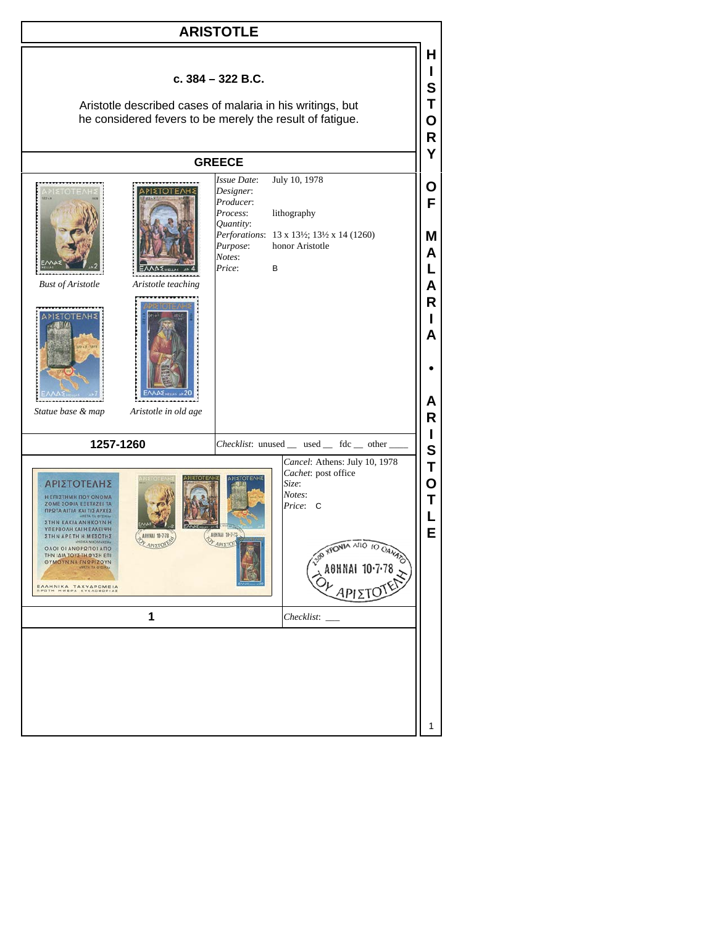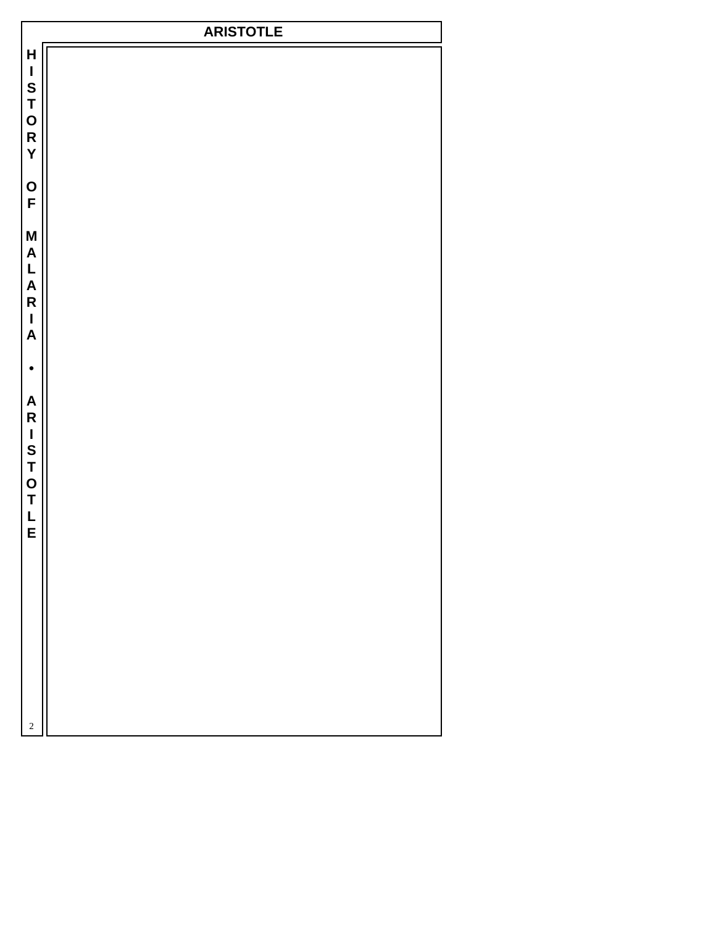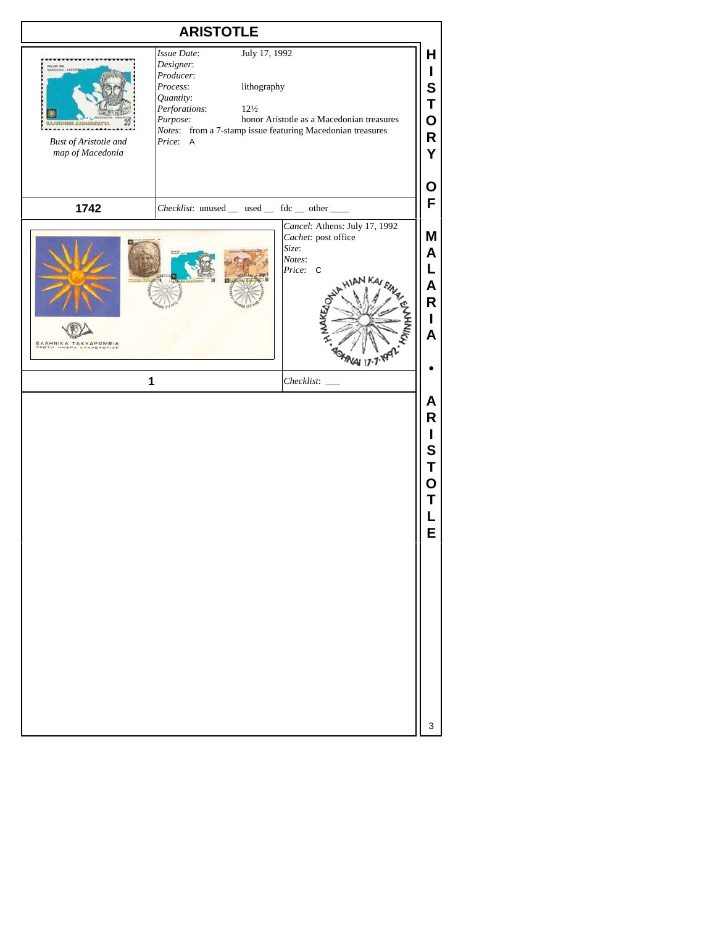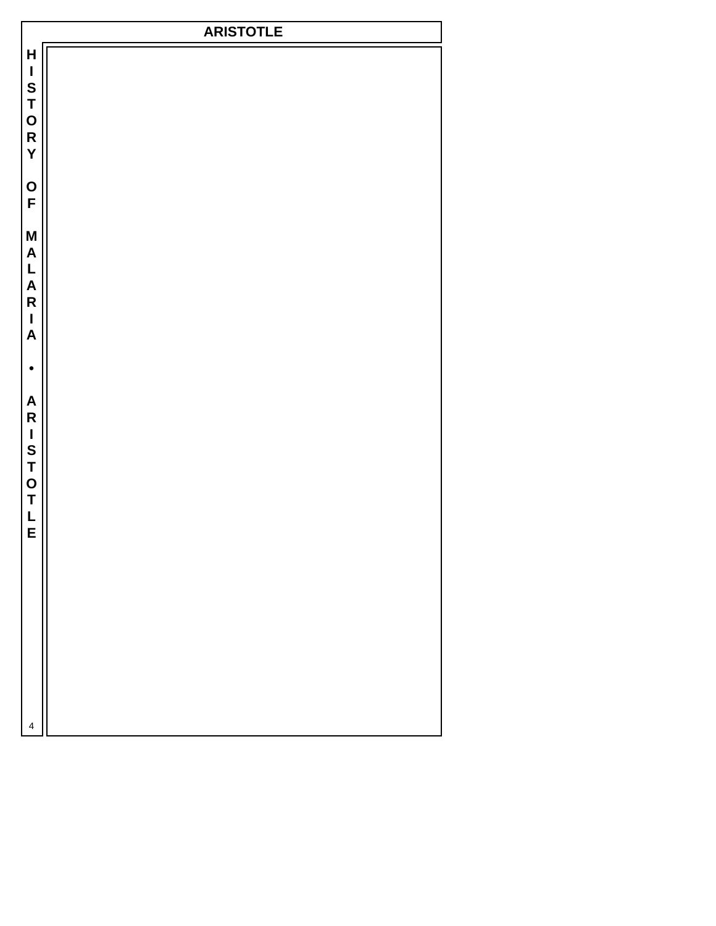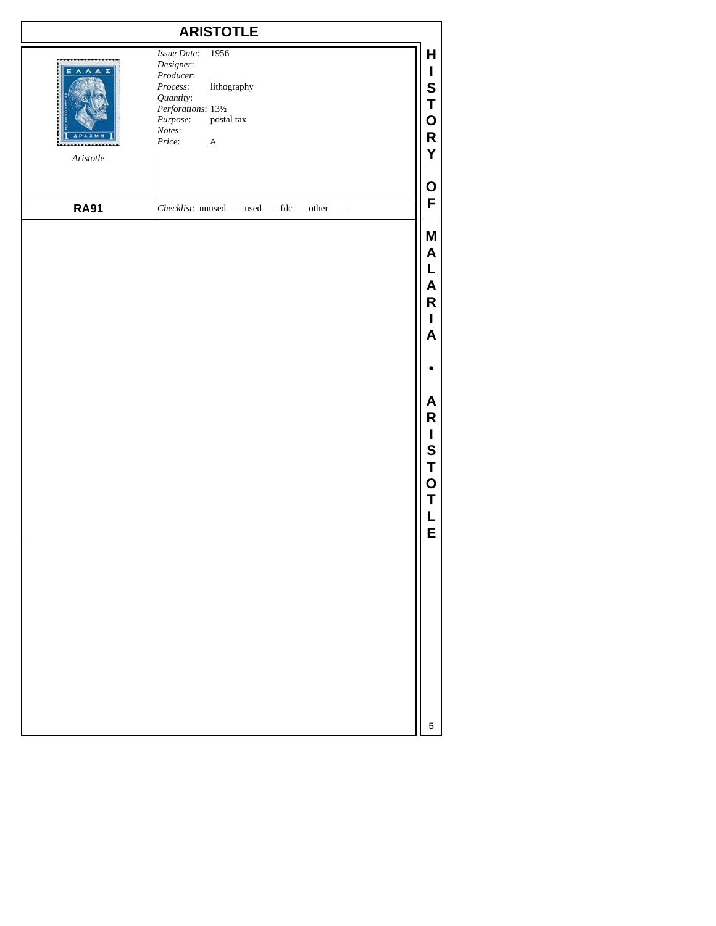| <b>ARISTOTLE</b>              |                                                                                                                                                                              |                                                                         |
|-------------------------------|------------------------------------------------------------------------------------------------------------------------------------------------------------------------------|-------------------------------------------------------------------------|
| EAAA<br>$A \emph{risto} t le$ | <b>Issue Date:</b><br>1956<br>Designer:<br>Producer:<br>Process:<br>lithography<br>Quantity:<br>Perforations: 131/2<br>Purpose:<br>postal tax<br>Notes:<br>$\sf A$<br>Price: | Н<br>L<br>S<br>Τ<br>O<br>R<br>Y                                         |
| <b>RA91</b>                   | Checklist: unused _ used _ fdc _ other __                                                                                                                                    | O<br>F                                                                  |
|                               |                                                                                                                                                                              | Μ<br>A<br>L<br>Α<br>R<br>L<br>A<br>Α<br>R<br>L<br>S<br>T<br>О<br>Т<br>E |
|                               |                                                                                                                                                                              | 5                                                                       |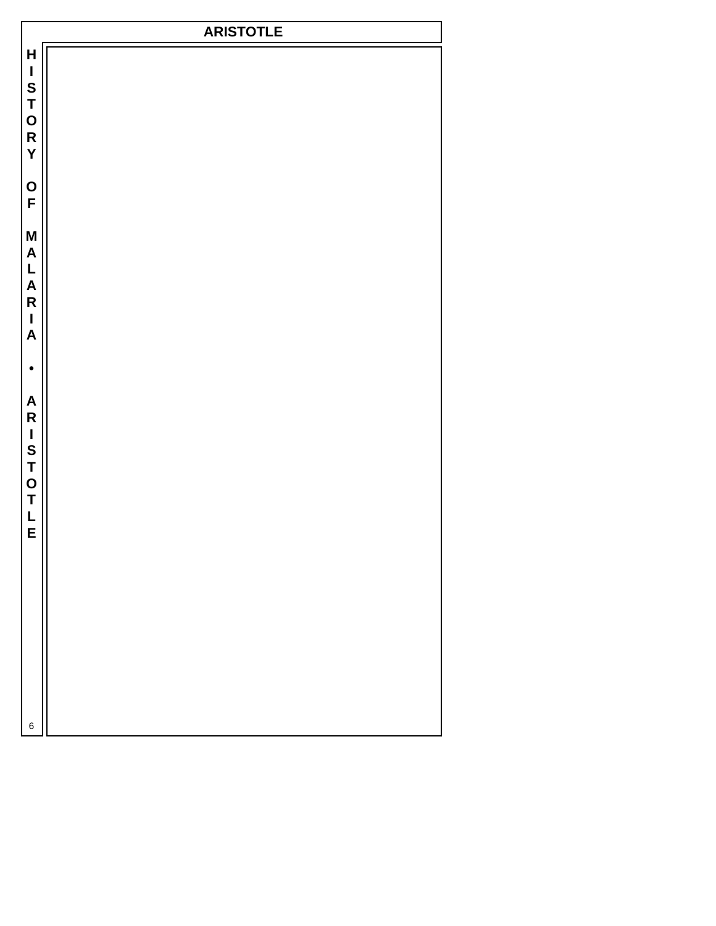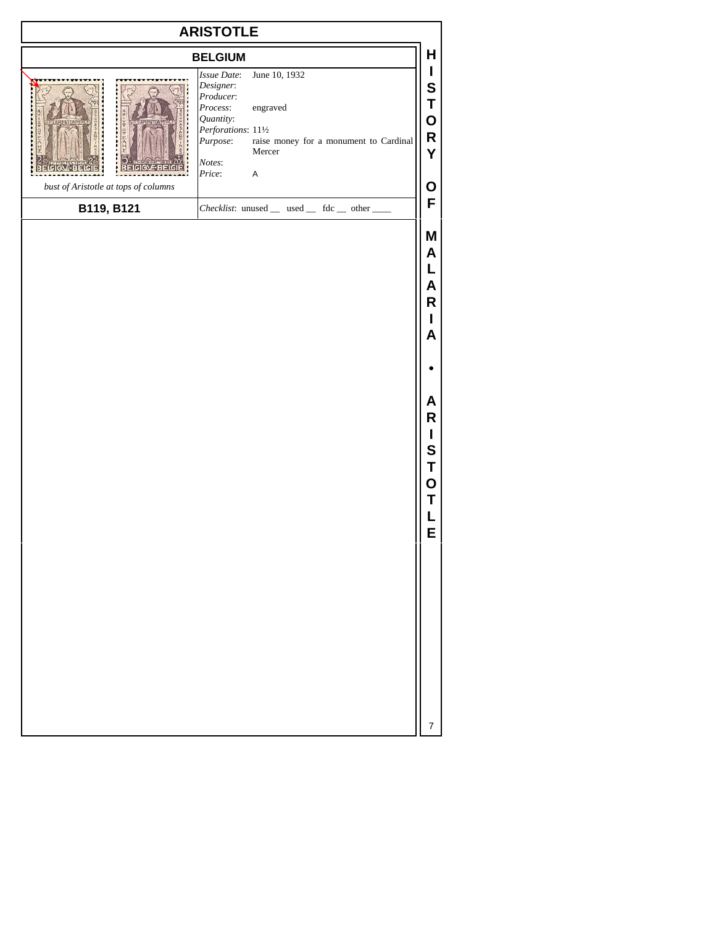| <b>ARISTOTLE</b>                     |                                                                                                                       |                                                                                              |                                         |
|--------------------------------------|-----------------------------------------------------------------------------------------------------------------------|----------------------------------------------------------------------------------------------|-----------------------------------------|
|                                      | <b>BELGIUM</b>                                                                                                        |                                                                                              | Н                                       |
| bust of Aristotle at tops of columns | Issue Date:<br>Designer:<br>Producer:<br>Process:<br>Quantity:<br>Perforations: 111/2<br>Purpose:<br>Notes:<br>Price: | June 10, 1932<br>engraved<br>raise money for a monument to Cardinal<br>Mercer<br>$\mathsf A$ | I<br>S<br>Τ<br>0<br>${\sf R}$<br>Υ<br>O |
| B119, B121                           |                                                                                                                       | Checklist: unused _ used _ fdc _ other _                                                     | F                                       |
|                                      |                                                                                                                       |                                                                                              | M<br>Α<br>A<br>R<br>A                   |
|                                      |                                                                                                                       |                                                                                              |                                         |
|                                      |                                                                                                                       |                                                                                              | Α<br>R<br>I<br>S<br>T<br>О<br>Τ<br>E    |
|                                      |                                                                                                                       |                                                                                              | 7                                       |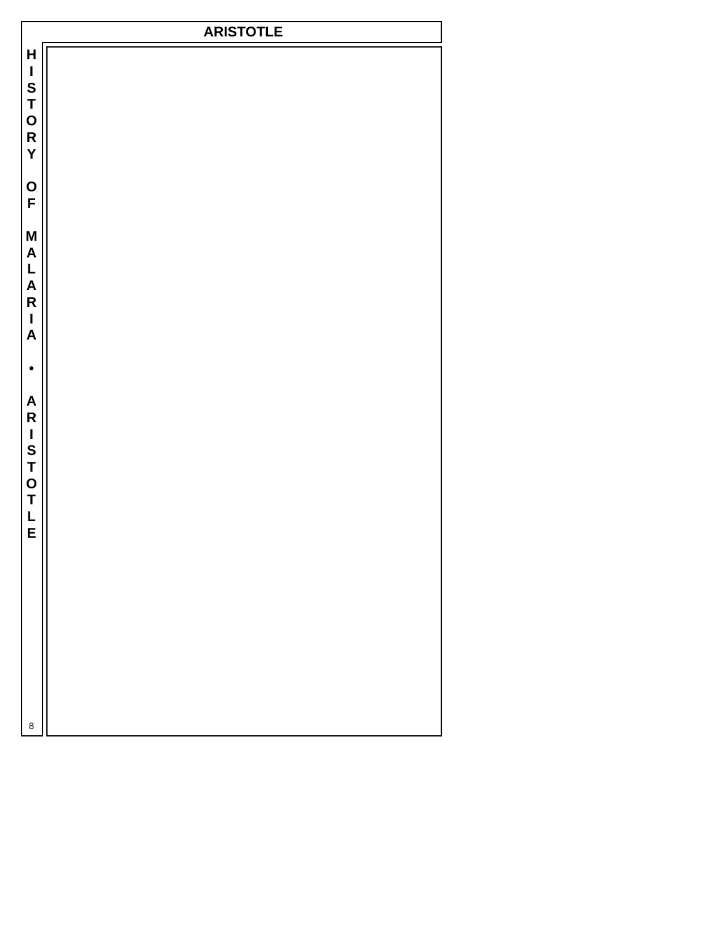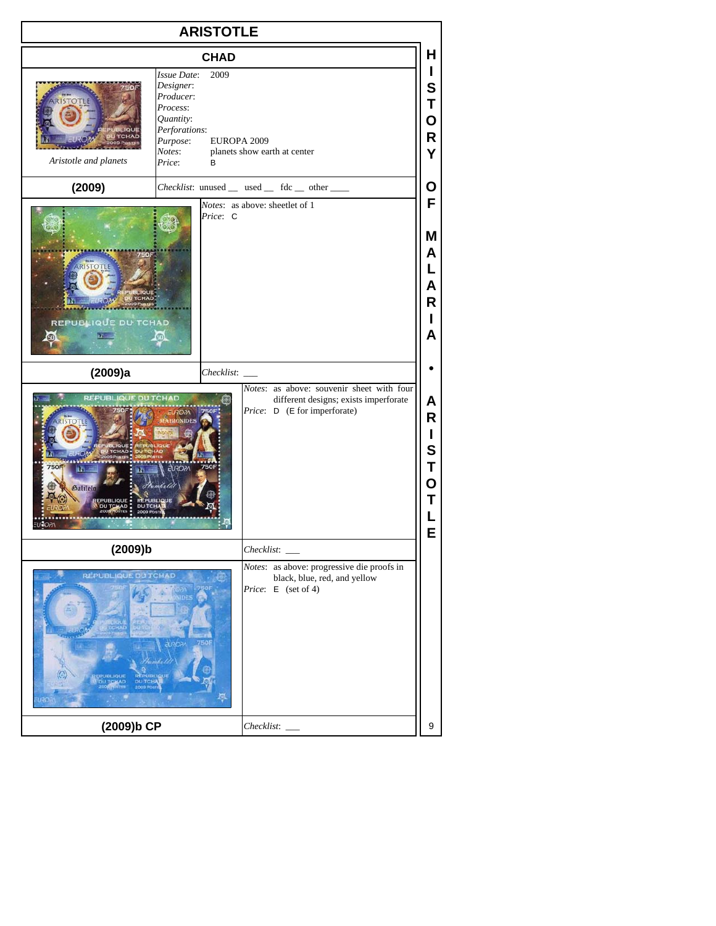| <b>ARISTOTLE</b>                                        |                                                                                                                                                                             |                                       |
|---------------------------------------------------------|-----------------------------------------------------------------------------------------------------------------------------------------------------------------------------|---------------------------------------|
|                                                         | <b>CHAD</b>                                                                                                                                                                 | н                                     |
| <b>ISTOTL</b><br>Aristotle and planets                  | Issue Date:<br>2009<br>Designer:<br>Producer:<br>Process:<br>Quantity:<br>Perforations:<br>Purpose:<br>EUROPA 2009<br>Notes:<br>planets show earth at center<br>Price:<br>В | $\mathbf{I}$<br>S<br>Τ<br>Ο<br>R<br>Y |
| (2009)                                                  | Checklist: unused _ used _ fdc _ other ___                                                                                                                                  | О                                     |
| REPUBLIQUE DU TCHAD                                     | Notes: as above: sheetlet of 1<br>Price: C                                                                                                                                  | F<br>Μ<br>A<br>L<br>A<br>R<br>L<br>A  |
| (2009)a                                                 | Checklist:                                                                                                                                                                  |                                       |
| <b>REPUB</b><br><b>QUE DU TCHAD</b><br>7501<br>Galilelo | Notes: as above: souvenir sheet with four<br>different designs; exists imperforate<br>Price: D (E for imperforate)<br><b>NIDE</b>                                           | A<br>R<br>L<br>S<br>Т<br>O<br>Τ<br>Ē  |
| (2009)b                                                 | Checklist:                                                                                                                                                                  |                                       |
| <b>REPUBLIQUE DU TCHAD</b>                              | Notes: as above: progressive die proofs in<br>black, blue, red, and yellow<br>Price: E (set of 4)<br>אראיו ו                                                                |                                       |
| (2009)b CP                                              | Checklist:                                                                                                                                                                  | 9                                     |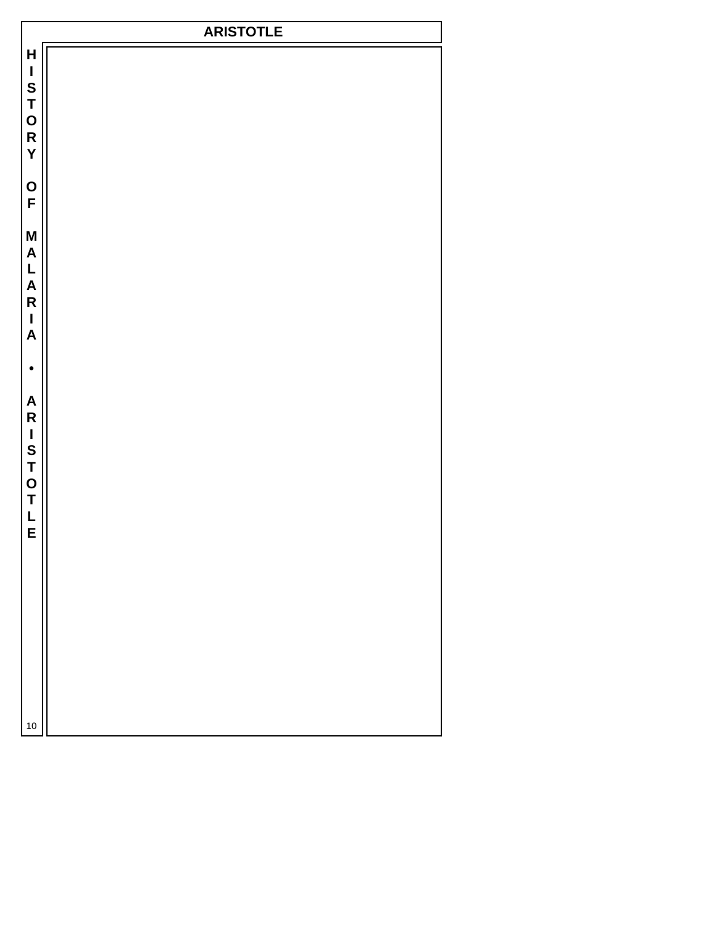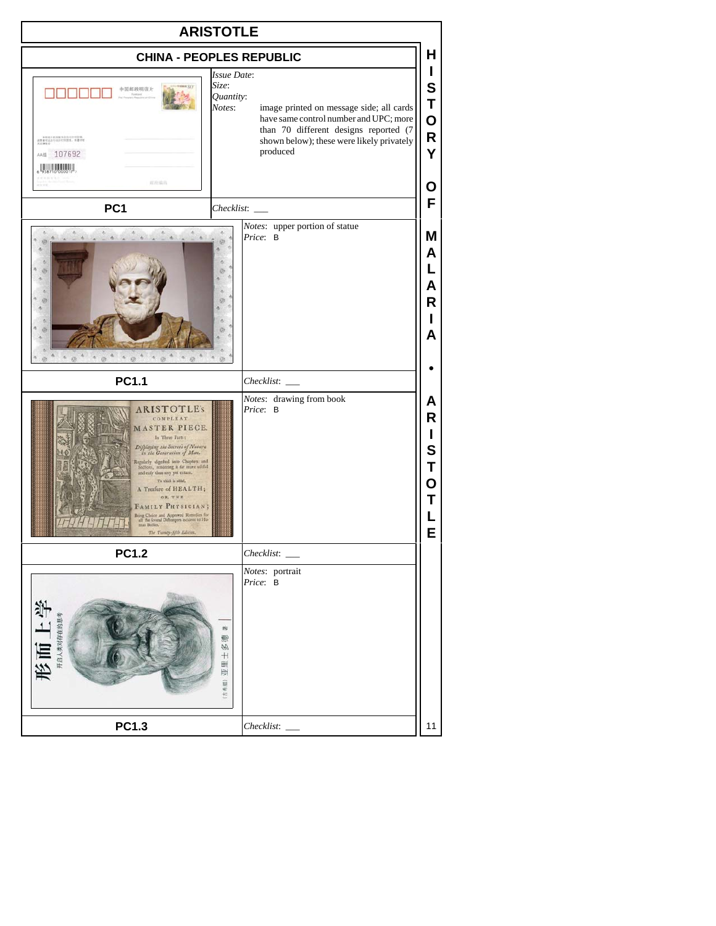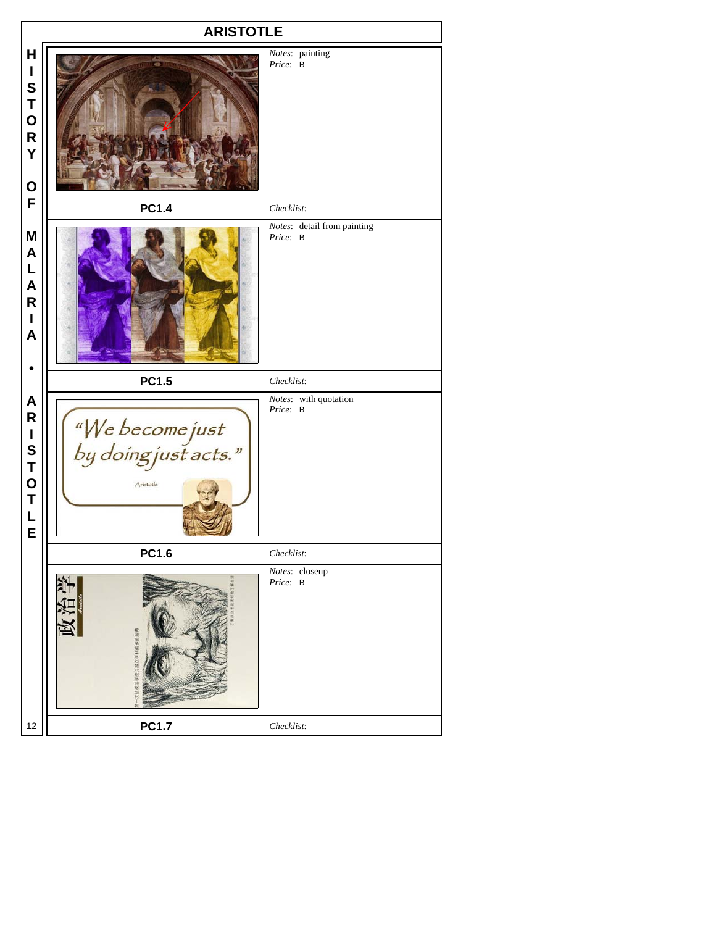|                                                                                                                                                                                          | <b>ARISTOTLE</b>                                     |                                         |  |  |
|------------------------------------------------------------------------------------------------------------------------------------------------------------------------------------------|------------------------------------------------------|-----------------------------------------|--|--|
| H<br>$\mathbf{I}$<br>S<br>T<br>O<br>R<br>Y<br>$\mathbf O$                                                                                                                                |                                                      | Notes: painting<br>Price: B             |  |  |
| $\mathsf F$                                                                                                                                                                              | <b>PC1.4</b>                                         |                                         |  |  |
| M<br>$\pmb{\mathsf{A}}$<br>$\mathsf{L}% _{0}\left( \mathsf{L}_{0}\right) ^{\ast }=\mathsf{L}_{0}\left( \mathsf{L}_{0}\right) ^{\ast }$<br>$\mathsf{A}$<br>${\sf R}$<br>$\mathbf{I}$<br>A |                                                      | Notes: detail from painting<br>Price: B |  |  |
|                                                                                                                                                                                          | <b>PC1.5</b>                                         |                                         |  |  |
| $\pmb{\mathsf{A}}$<br>${\sf R}$<br>I<br>S<br>T<br>O<br>T<br>$\mathsf{L}$<br>E                                                                                                            | "We become just<br>by doing just acts."<br>Aristotle | Notes: with quotation<br>Price: B       |  |  |
|                                                                                                                                                                                          | <b>PC1.6</b>                                         |                                         |  |  |
|                                                                                                                                                                                          | 電阻电池高等型の銀代型各均高山な                                     | Notes: closeup<br>Price: B              |  |  |
| 12                                                                                                                                                                                       | <b>PC1.7</b>                                         |                                         |  |  |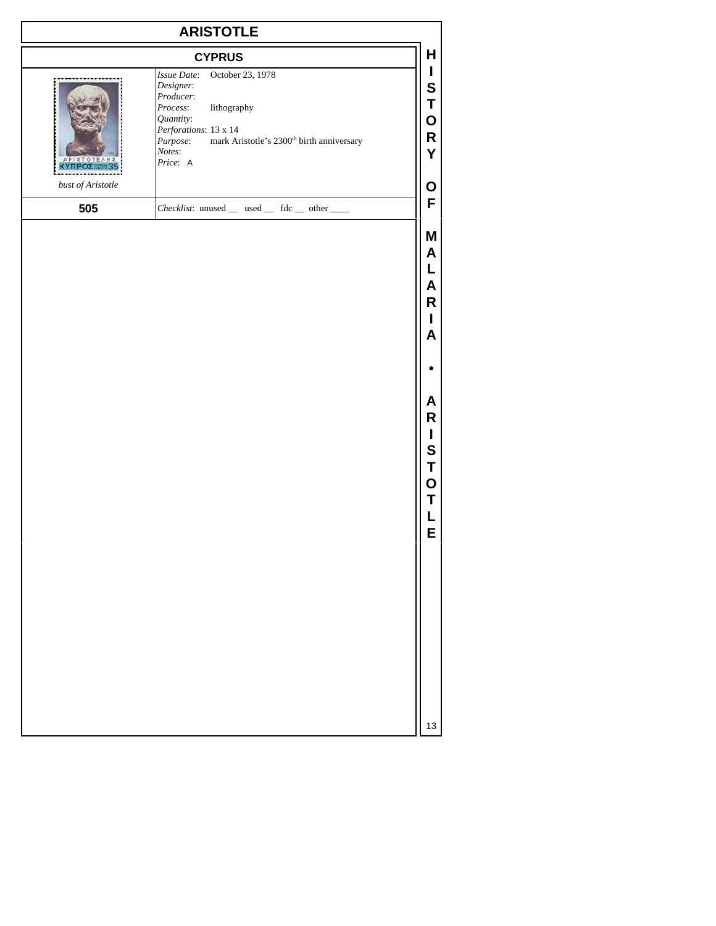| <b>ARISTOTLE</b>                                |                                                                                                                                                                                                                       |                                      |
|-------------------------------------------------|-----------------------------------------------------------------------------------------------------------------------------------------------------------------------------------------------------------------------|--------------------------------------|
|                                                 | <b>CYPRUS</b>                                                                                                                                                                                                         | Н                                    |
| <b>STOT</b><br>EA<br>HZ<br><b>KYTTPOZEMME35</b> | October 23, 1978<br>Issue Date:<br>Designer:<br>Producer:<br>lithography<br>Process:<br>Quantity:<br>Perforations: 13 x 14<br>mark Aristotle's 2300 <sup>th</sup> birth anniversary<br>Purpose:<br>Notes:<br>Price: A | L<br>S<br>T<br>O<br>R<br>Y           |
| $\emph{bust of Aristotle}$                      |                                                                                                                                                                                                                       | O<br>F                               |
| 505                                             | Checklist: unused _ used _ fdc _ other __                                                                                                                                                                             | Μ<br>A                               |
|                                                 |                                                                                                                                                                                                                       | A<br>R<br>L<br>A                     |
|                                                 |                                                                                                                                                                                                                       |                                      |
|                                                 |                                                                                                                                                                                                                       | Α<br>R<br>L<br>S<br>Τ<br>O<br>Т<br>E |
|                                                 |                                                                                                                                                                                                                       | 13                                   |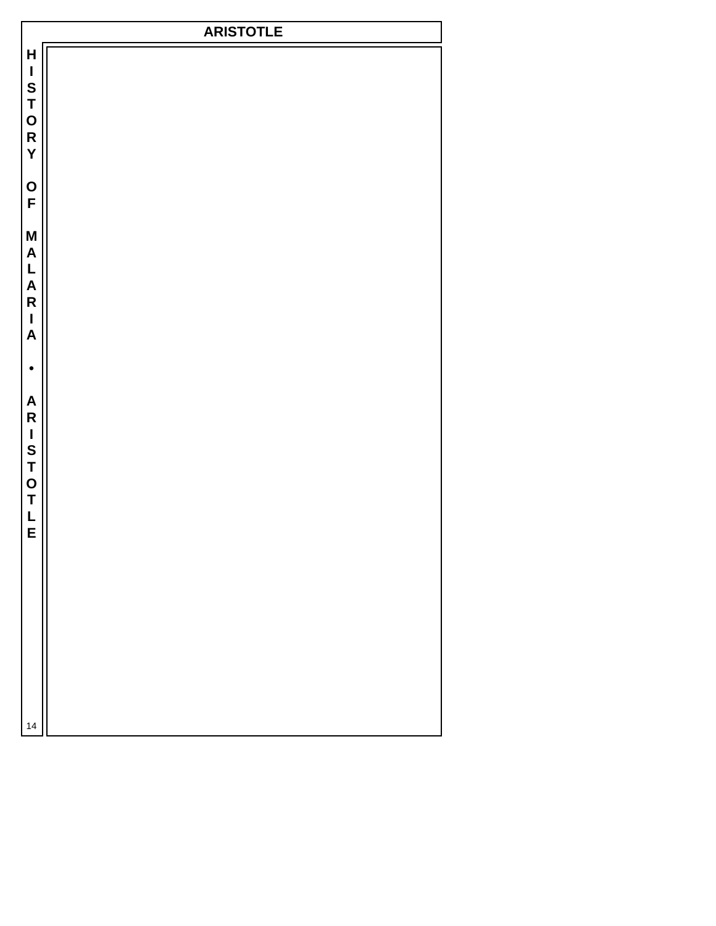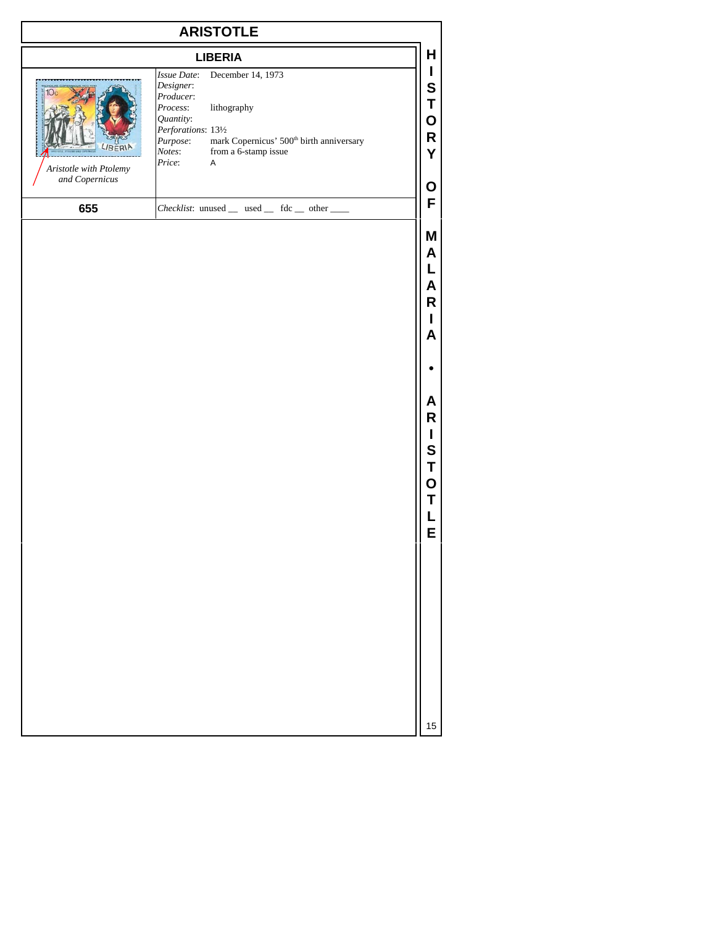| <b>ARISTOTLE</b>                                            |                                                                                                                                                                                                                                                |                       |
|-------------------------------------------------------------|------------------------------------------------------------------------------------------------------------------------------------------------------------------------------------------------------------------------------------------------|-----------------------|
|                                                             | <b>LIBERIA</b>                                                                                                                                                                                                                                 | Н                     |
| 10 <sub>c</sub><br>Aristotle with Ptolemy<br>and Copernicus | December 14, 1973<br>Issue Date:<br>Designer:<br>Producer:<br>Process:<br>lithography<br>Quantity:<br>Perforations: 131/2<br>mark Copernicus' 500 <sup>th</sup> birth anniversary<br>Purpose:<br>Notes:<br>from a 6-stamp issue<br>Price:<br>A | S<br>O<br>R<br>Y      |
| 655                                                         | Checklist: unused _ used _ fdc _ other ___                                                                                                                                                                                                     | O<br>F                |
|                                                             |                                                                                                                                                                                                                                                | Μ<br>Α<br>Α<br>R<br>А |
|                                                             |                                                                                                                                                                                                                                                |                       |
|                                                             |                                                                                                                                                                                                                                                |                       |

**I S T O T L E**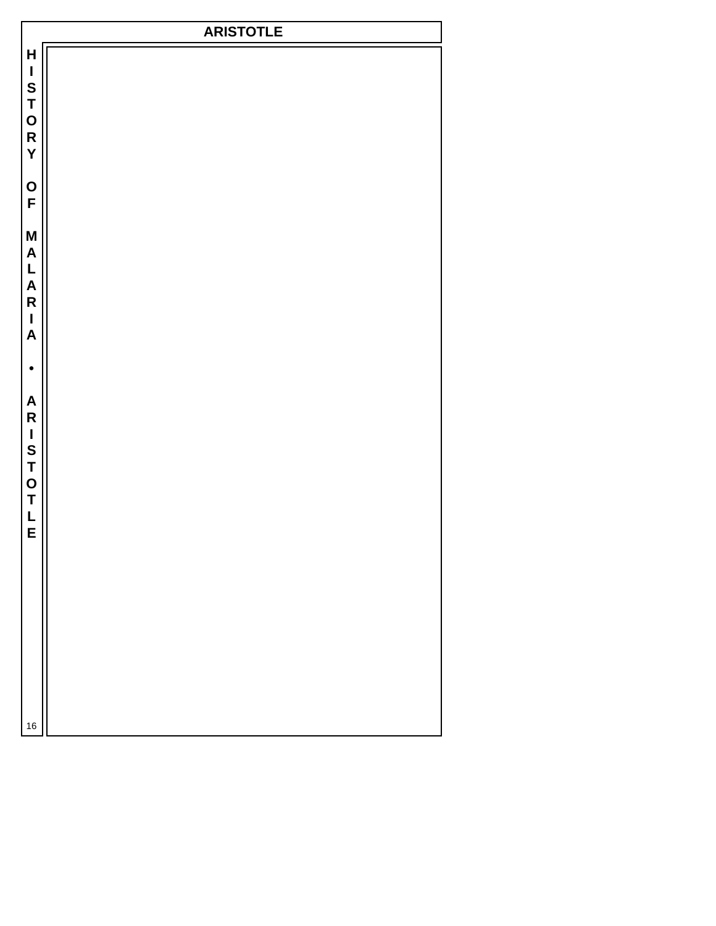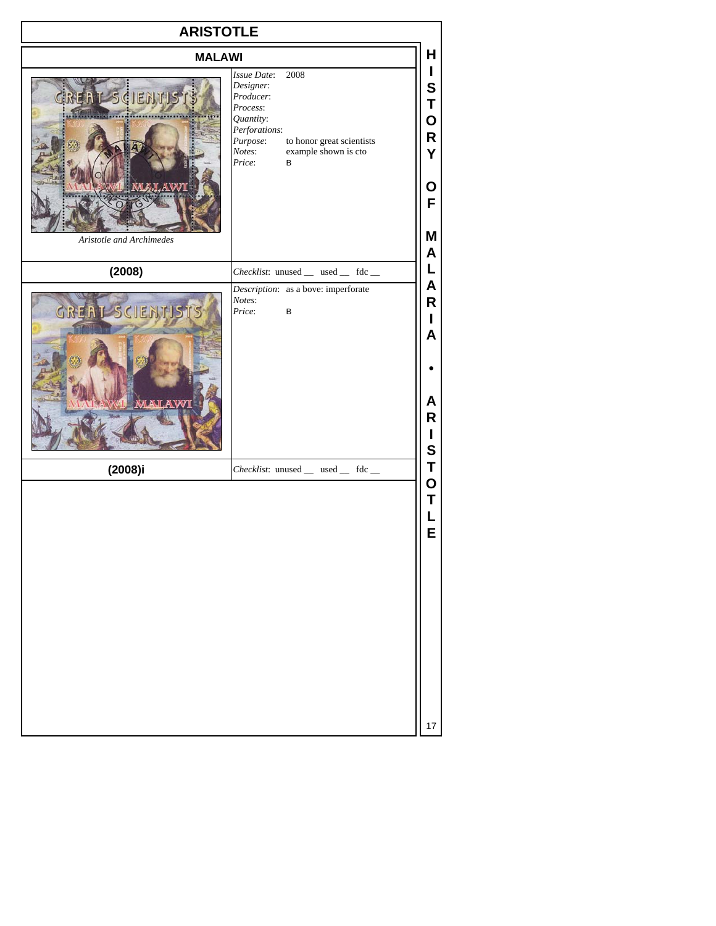| <b>ARISTOTLE</b>                                       |                                                                                                                                                                                          |                                                           |
|--------------------------------------------------------|------------------------------------------------------------------------------------------------------------------------------------------------------------------------------------------|-----------------------------------------------------------|
| <b>MALAWI</b>                                          |                                                                                                                                                                                          | Н                                                         |
| BENT SCIENTISTS<br>M.I.AWI<br>Aristotle and Archimedes | 2008<br><i>Issue Date:</i><br>Designer:<br>Producer:<br>Process:<br>Quantity:<br>Perforations:<br>to honor great scientists<br>Purpose:<br>example shown is cto<br>Notes:<br>Price:<br>B | $\mathbf{I}$<br>S<br>Τ<br>O<br>R<br>Y<br>О<br>F<br>Μ<br>A |
| (2008)                                                 | Checklist: unused __ used __ fdc __                                                                                                                                                      | L                                                         |
| GREAT SCIENTISTS                                       | Description: as a bove: imperforate<br>Notes:<br>Price:<br>$\sf B$                                                                                                                       | A<br>R<br>L<br>A<br>A<br>R<br>L<br>S                      |
| $(2008)$ i                                             | Checklist: unused _ used _ fdc _                                                                                                                                                         | T                                                         |
|                                                        |                                                                                                                                                                                          | O<br>T<br>L<br>E<br>17                                    |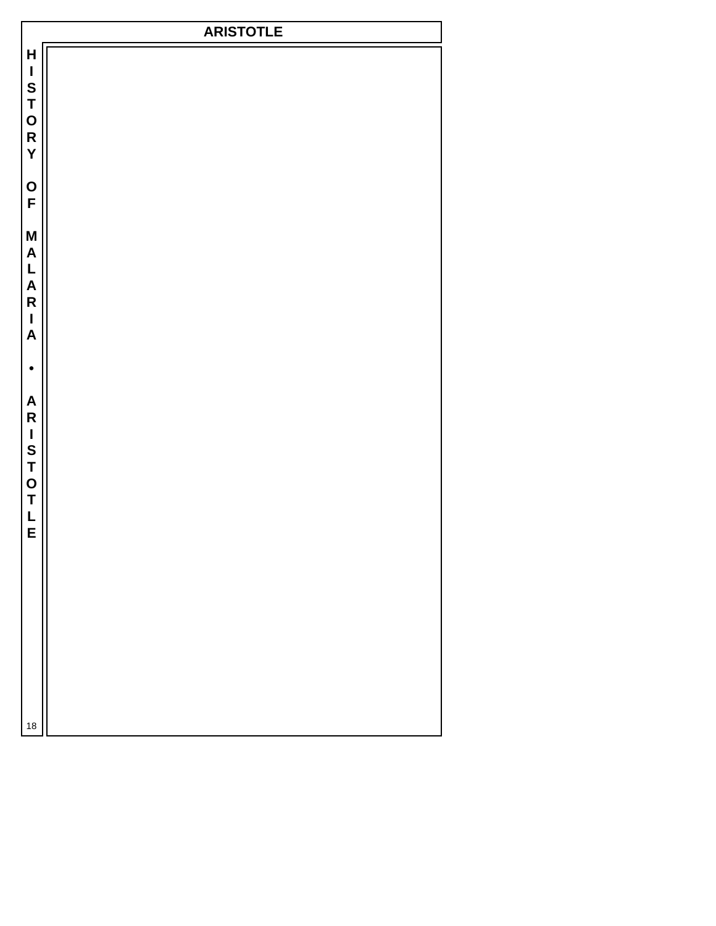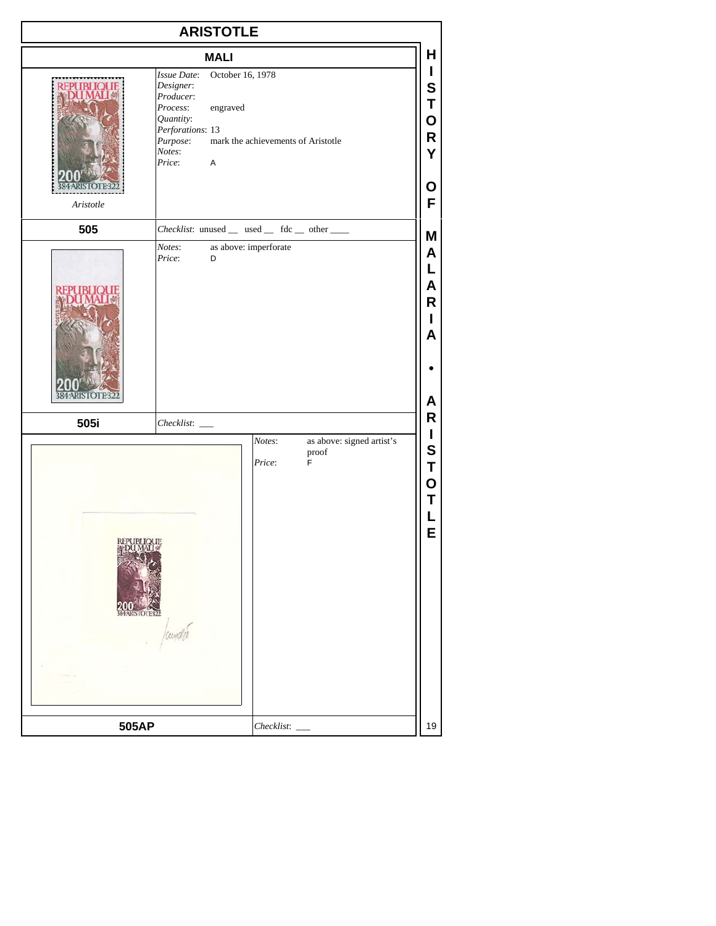| <b>ARISTOTLE</b>  |                                                                                                                                                                                               |                                      |
|-------------------|-----------------------------------------------------------------------------------------------------------------------------------------------------------------------------------------------|--------------------------------------|
|                   | <b>MALI</b>                                                                                                                                                                                   | Н                                    |
| Aristotle         | October 16, 1978<br>Issue Date:<br>Designer:<br>Producer:<br>Process:<br>engraved<br>Quantity:<br>Perforations: 13<br>mark the achievements of Aristotle<br>Purpose:<br>Notes:<br>Price:<br>A | L<br>S<br>Т<br>O<br>R<br>Y<br>O<br>F |
| 505               | Checklist: unused _ used _ fdc _ other ___                                                                                                                                                    | M                                    |
|                   | as above: imperforate<br>Notes:<br>Price:<br>D                                                                                                                                                | A<br>L<br>A<br>R<br>L<br>A<br>A      |
| 505i              |                                                                                                                                                                                               | R                                    |
| <b>DENTRICATE</b> | as above: signed artist's<br>Notes:<br>proof<br>Price:<br>F                                                                                                                                   | L<br>S<br>Τ<br>O<br>Τ<br>E           |
| 505AP             | $Checklist:$ $\_\$                                                                                                                                                                            | 19                                   |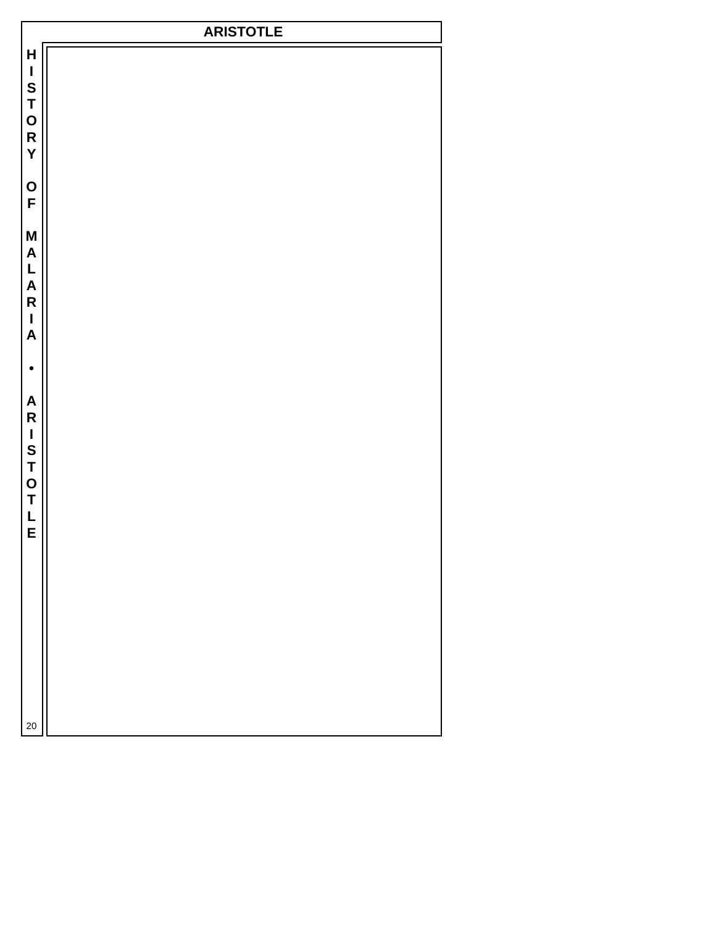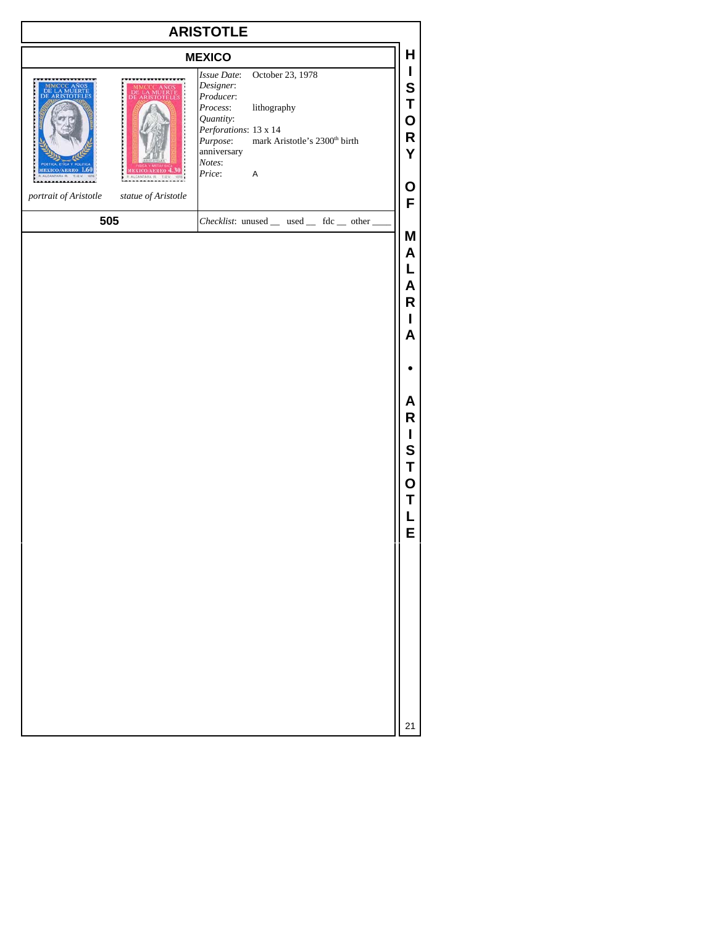| <b>ARISTOTLE</b>                             |                                                                                                                                                                                                                                    |                                                                         |
|----------------------------------------------|------------------------------------------------------------------------------------------------------------------------------------------------------------------------------------------------------------------------------------|-------------------------------------------------------------------------|
|                                              | <b>MEXICO</b>                                                                                                                                                                                                                      | н                                                                       |
|                                              | October 23, 1978<br>Issue Date:<br>Designer:<br>Producer:<br>lithography<br>Process:<br>Quantity:<br>Perforations: 13 x 14<br>Purpose: mark Aristotle's 2300 <sup>th</sup> birth<br>anniversary<br>Notes:<br>Price:<br>$\mathsf A$ | L<br>S<br>Τ<br>O<br>R<br>Y<br>Ο                                         |
| statue of Aristotle<br>portrait of Aristotle |                                                                                                                                                                                                                                    | F                                                                       |
| 505                                          | Checklist: unused _ used _ fdc _ other _                                                                                                                                                                                           | Μ<br>Α<br>L<br>Α<br>R<br>L<br>Α<br>Α<br>R<br>I<br>S<br>Τ<br>O<br>Т<br>E |
|                                              |                                                                                                                                                                                                                                    | 21                                                                      |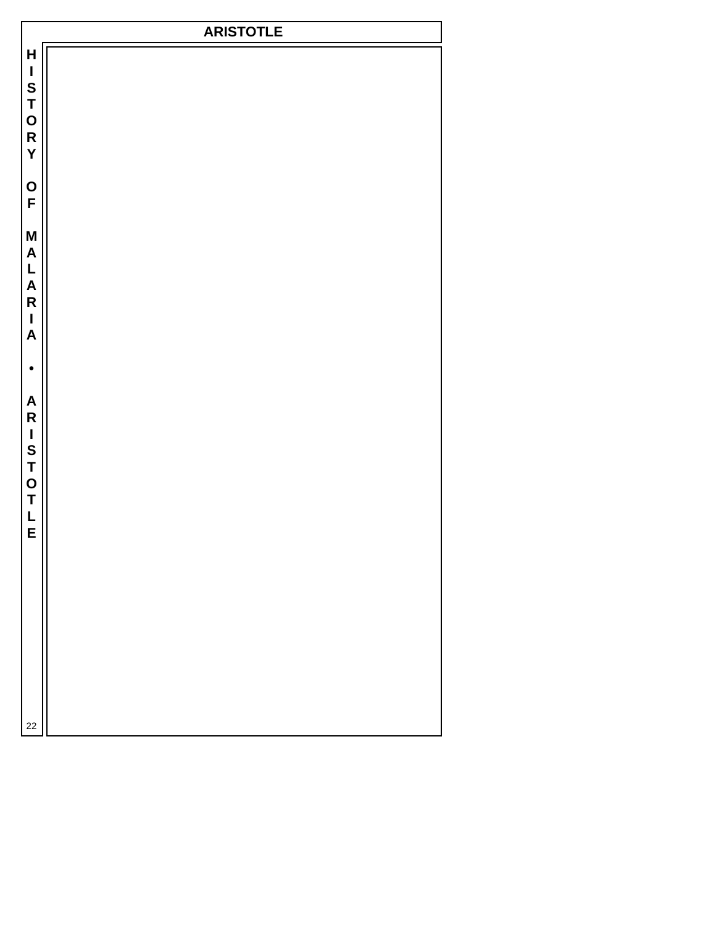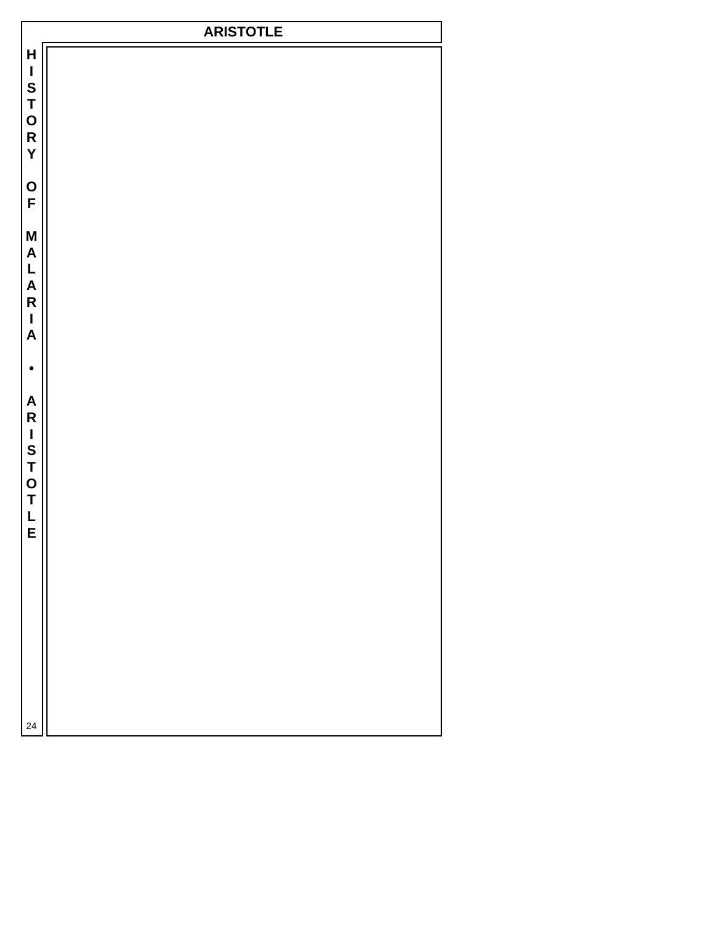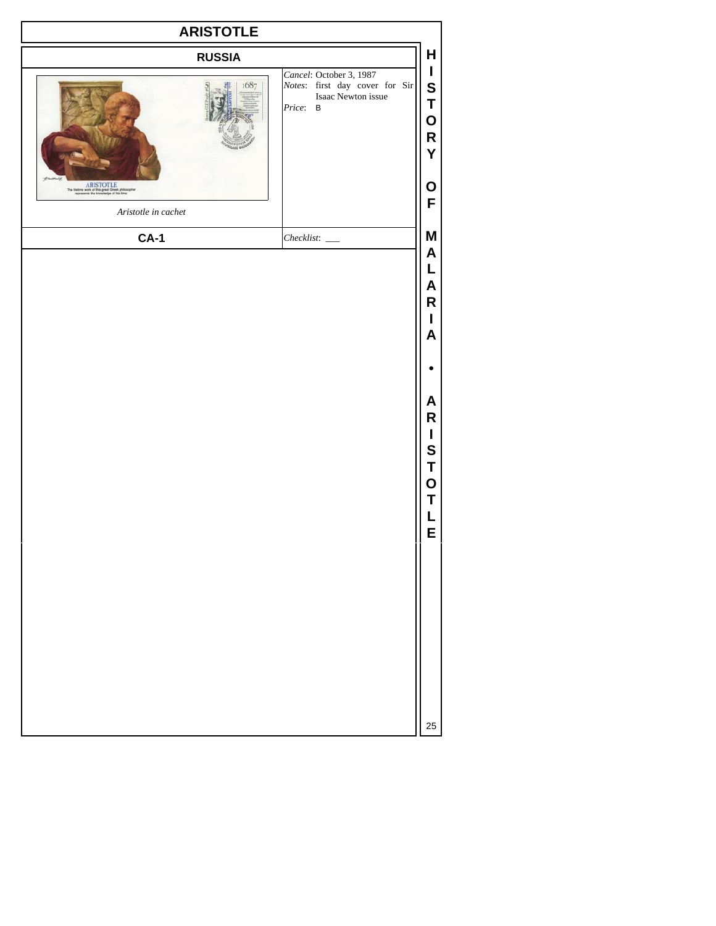| <b>ARISTOTLE</b>                                                                                                         |                                                                                                                   |                                                                                   |
|--------------------------------------------------------------------------------------------------------------------------|-------------------------------------------------------------------------------------------------------------------|-----------------------------------------------------------------------------------|
| <b>RUSSIA</b>                                                                                                            |                                                                                                                   | H                                                                                 |
| 1687                                                                                                                     | Cancel: October 3, 1987<br><i>Notes</i> : first day cover for Sir<br>Isaac Newton issue<br>Price:<br>$\, {\bf B}$ | $\mathbf{I}$<br>${\mathbf S}$<br>T<br>O<br>R<br>Y                                 |
| ARISTOTLE<br>The Helime work of this great Greek prilos:<br>represents the knowledge of his time.<br>Aristotle in cachet |                                                                                                                   | O<br>F                                                                            |
| $CA-1$                                                                                                                   | $Checklist:$ $\_\_$                                                                                               | M                                                                                 |
|                                                                                                                          |                                                                                                                   | A<br>L<br>A<br>R<br>I<br>A<br>A<br>R<br>I<br>$\mathbf S$<br>T<br>O<br>Τ<br>L<br>Е |
|                                                                                                                          |                                                                                                                   | 25                                                                                |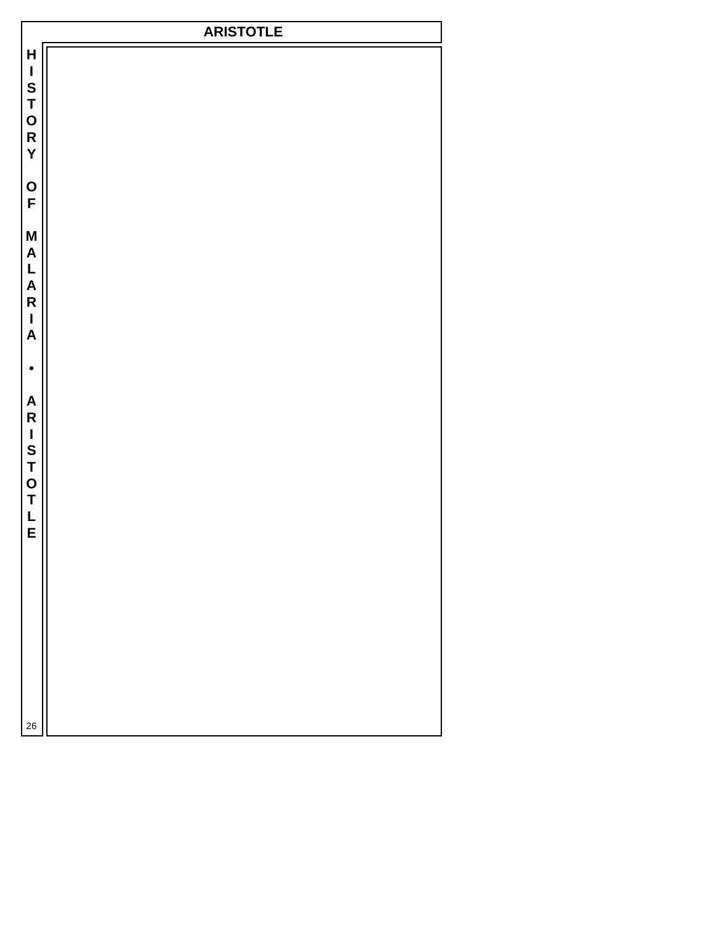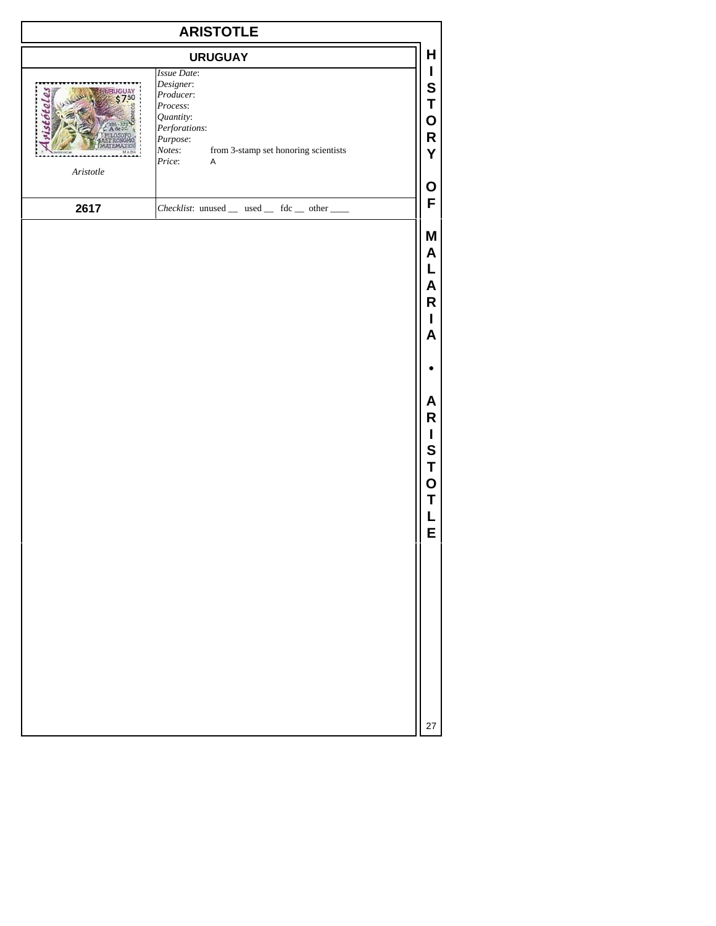| <b>ARISTOTLE</b>      |                                                                                                                                                                        |                                                                                                  |
|-----------------------|------------------------------------------------------------------------------------------------------------------------------------------------------------------------|--------------------------------------------------------------------------------------------------|
|                       | <b>URUGUAY</b>                                                                                                                                                         | H                                                                                                |
| $A \emph{risto} t le$ | Issue Date:<br>Designer:<br>Producer:<br>Process:<br>Quantity:<br>Perforations:<br>Purpose:<br>from 3-stamp set honoring scientists<br>Notes:<br>Price:<br>$\mathsf A$ | L<br>S<br>Τ<br>O<br>R<br>Y<br>O                                                                  |
| 2617                  | Checklist: unused _ used _ fdc _ other __                                                                                                                              | F                                                                                                |
|                       |                                                                                                                                                                        | M<br>A<br>L<br>A<br>R<br>L<br>A<br>A<br>R<br>$\mathbf I$<br>S<br>Τ<br>$\mathbf O$<br>Τ<br>L<br>E |
|                       |                                                                                                                                                                        |                                                                                                  |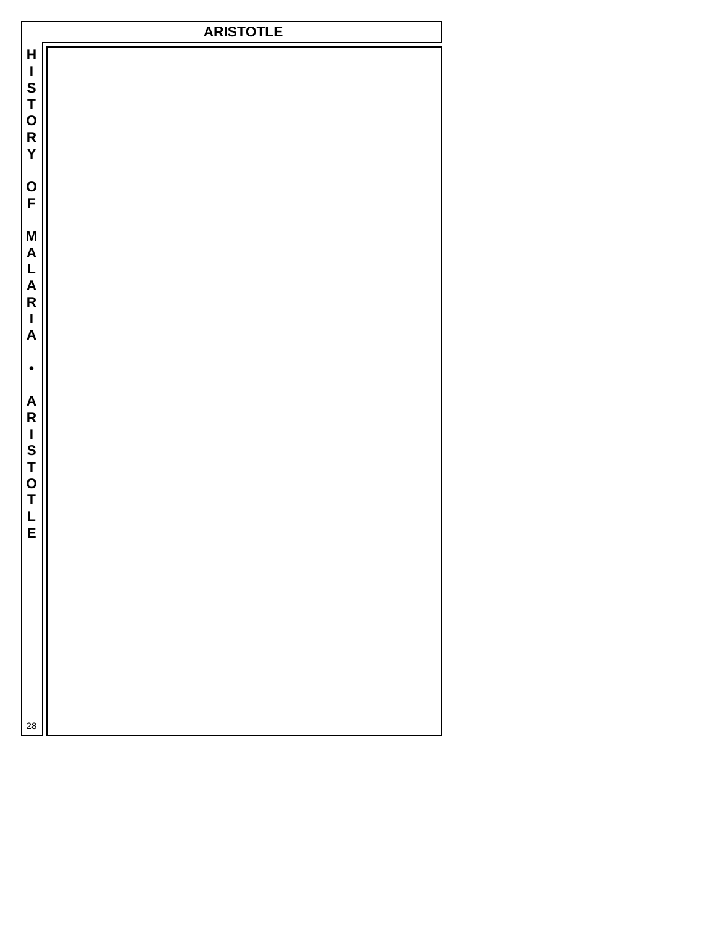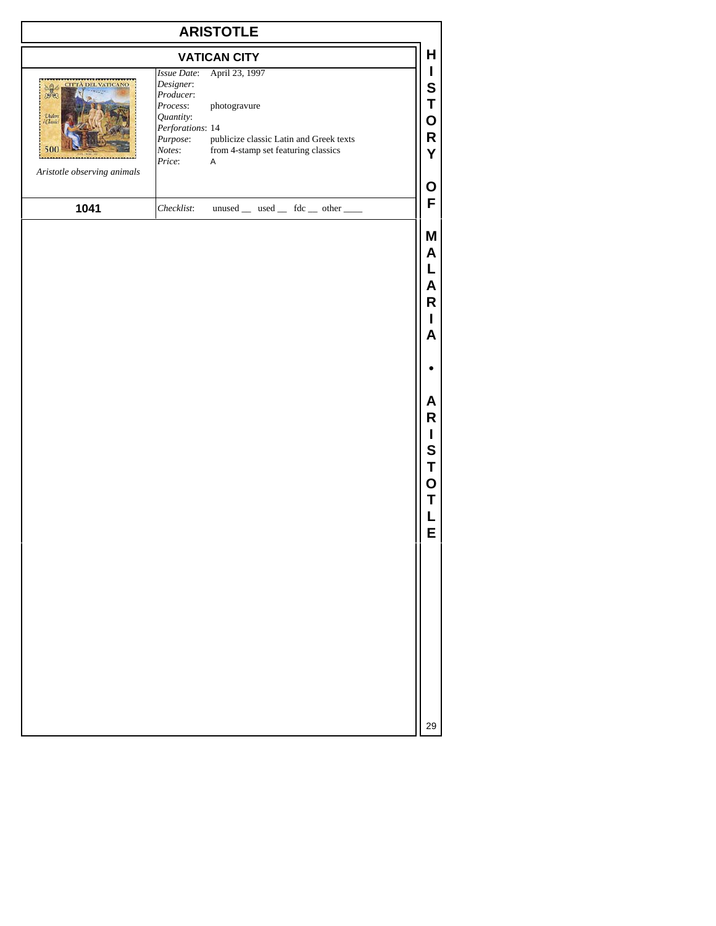| <b>VATICAN CITY</b>                                                                   |                                                                                                                    |                                                                                                                                  |
|---------------------------------------------------------------------------------------|--------------------------------------------------------------------------------------------------------------------|----------------------------------------------------------------------------------------------------------------------------------|
| <b>CITTA DEL VATICANO</b><br>Unlere<br>$\alpha$<br>500<br>Aristotle observing animals | Issue Date:<br>Designer:<br>Producer:<br>Process:<br>Quantity:<br>Perforations: 14<br>Purpose:<br>Notes:<br>Price: | April 23, 1997<br>photogravure<br>publicize classic Latin and Greek texts<br>from 4-stamp set featuring classics<br>$\mathsf{A}$ |
| 1041                                                                                  | Checklist:                                                                                                         | $unused$ used fdc  then                                                                                                          |

**M A L A R I A • A R I S T O T L E**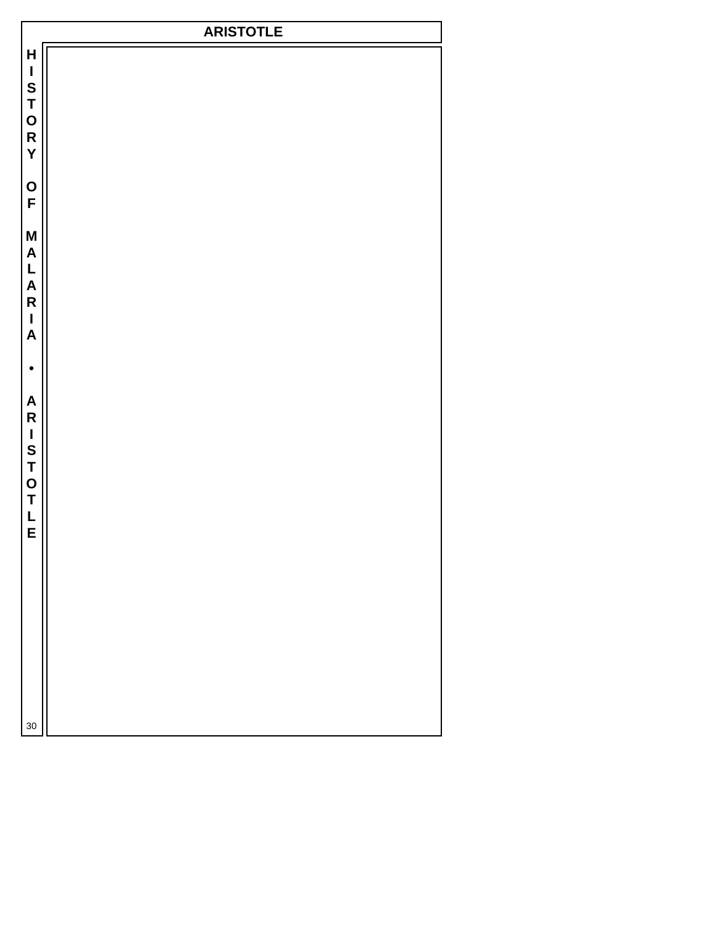